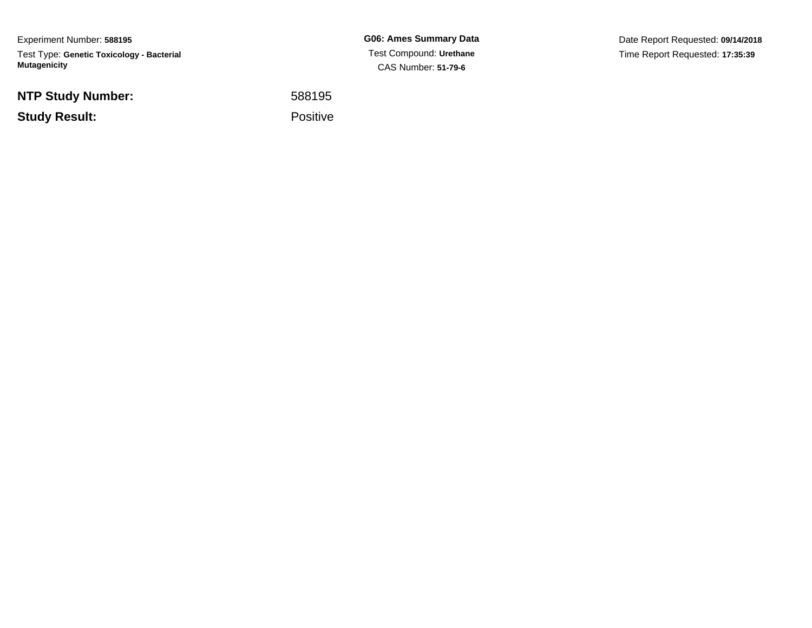Experiment Number: **588195**Test Type: **Genetic Toxicology - Bacterial Mutagenicity**

**NTP Study Number:**

**Study Result:**

**G06: Ames Summary Data** Test Compound: **Urethane**CAS Number: **51-79-6**

Date Report Requested: **09/14/2018**Time Report Requested: **17:35:39**

 <sup>588195</sup>Positive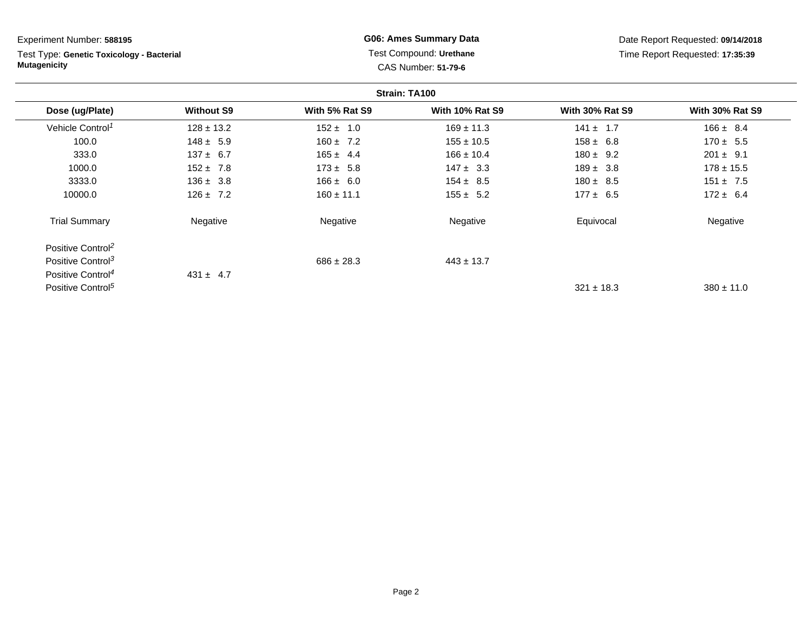Experiment Number: **588195**

Test Type: **Genetic Toxicology - Bacterial Mutagenicity**

## **G06: Ames Summary Data** Test Compound: **Urethane**CAS Number: **51-79-6**

Date Report Requested: **09/14/2018**Time Report Requested: **17:35:39**

| Strain: TA100                 |                   |                |                        |                        |                        |
|-------------------------------|-------------------|----------------|------------------------|------------------------|------------------------|
| Dose (ug/Plate)               | <b>Without S9</b> | With 5% Rat S9 | <b>With 10% Rat S9</b> | <b>With 30% Rat S9</b> | <b>With 30% Rat S9</b> |
| Vehicle Control <sup>1</sup>  | $128 \pm 13.2$    | $152 \pm 1.0$  | $169 \pm 11.3$         | $141 \pm 1.7$          | $166 \pm 8.4$          |
| 100.0                         | $148 \pm 5.9$     | $160 \pm 7.2$  | $155 \pm 10.5$         | $158 \pm 6.8$          | $170 \pm 5.5$          |
| 333.0                         | $137 \pm 6.7$     | $165 \pm 4.4$  | $166 \pm 10.4$         | $180 \pm 9.2$          | $201 \pm 9.1$          |
| 1000.0                        | $152 \pm 7.8$     | $173 \pm 5.8$  | $147 \pm 3.3$          | $189 \pm 3.8$          | $178 \pm 15.5$         |
| 3333.0                        | $136 \pm 3.8$     | $166 \pm 6.0$  | $154 \pm 8.5$          | $180 \pm 8.5$          | $151 \pm 7.5$          |
| 10000.0                       | $126 \pm 7.2$     | $160 \pm 11.1$ | $155 \pm 5.2$          | $177 \pm 6.5$          | $172 \pm 6.4$          |
| <b>Trial Summary</b>          | Negative          | Negative       | Negative               | Equivocal              | Negative               |
| Positive Control <sup>2</sup> |                   |                |                        |                        |                        |
| Positive Control <sup>3</sup> |                   | $686 \pm 28.3$ | $443 \pm 13.7$         |                        |                        |
| Positive Control <sup>4</sup> | $431 \pm 4.7$     |                |                        |                        |                        |
| Positive Control <sup>5</sup> |                   |                |                        | $321 \pm 18.3$         | $380 \pm 11.0$         |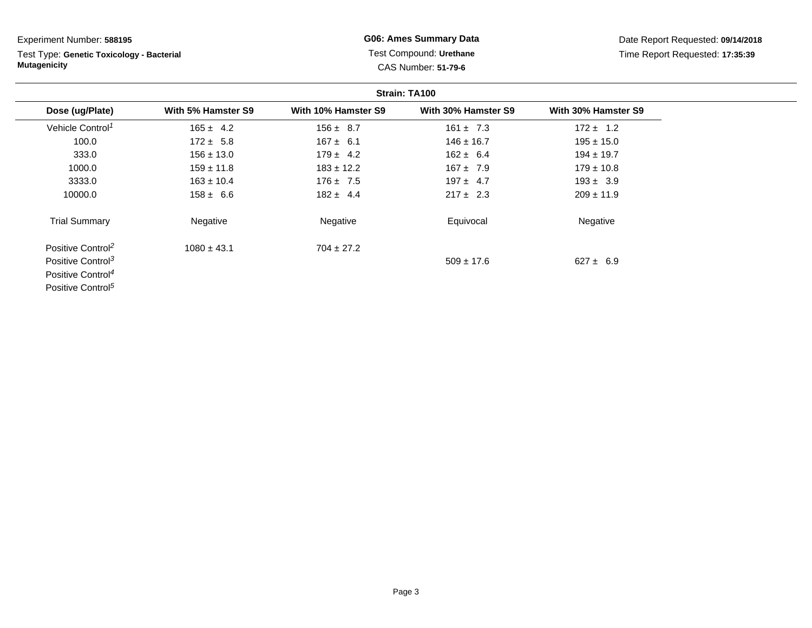Experiment Number: **588195**

Test Type: **Genetic Toxicology - Bacterial Mutagenicity**

## **G06: Ames Summary Data** Test Compound: **Urethane**CAS Number: **51-79-6**

Date Report Requested: **09/14/2018**Time Report Requested: **17:35:39**

| Strain: TA100                 |                    |                     |                     |                     |
|-------------------------------|--------------------|---------------------|---------------------|---------------------|
| Dose (ug/Plate)               | With 5% Hamster S9 | With 10% Hamster S9 | With 30% Hamster S9 | With 30% Hamster S9 |
| Vehicle Control <sup>1</sup>  | $165 \pm 4.2$      | $156 \pm 8.7$       | $161 \pm 7.3$       | $172 \pm 1.2$       |
| 100.0                         | $172 \pm 5.8$      | $167 \pm 6.1$       | $146 \pm 16.7$      | $195 \pm 15.0$      |
| 333.0                         | $156 \pm 13.0$     | $179 \pm 4.2$       | $162 \pm 6.4$       | $194 \pm 19.7$      |
| 1000.0                        | $159 \pm 11.8$     | $183 \pm 12.2$      | $167 \pm 7.9$       | $179 \pm 10.8$      |
| 3333.0                        | $163 \pm 10.4$     | $176 \pm 7.5$       | $197 \pm 4.7$       | $193 \pm 3.9$       |
| 10000.0                       | $158 \pm 6.6$      | $182 \pm 4.4$       | $217 \pm 2.3$       | $209 \pm 11.9$      |
| <b>Trial Summary</b>          | Negative           | Negative            | Equivocal           | Negative            |
| Positive Control <sup>2</sup> | $1080 \pm 43.1$    | $704 \pm 27.2$      |                     |                     |
| Positive Control <sup>3</sup> |                    |                     | $509 \pm 17.6$      | $627 \pm 6.9$       |
| Positive Control <sup>4</sup> |                    |                     |                     |                     |
| Positive Control <sup>5</sup> |                    |                     |                     |                     |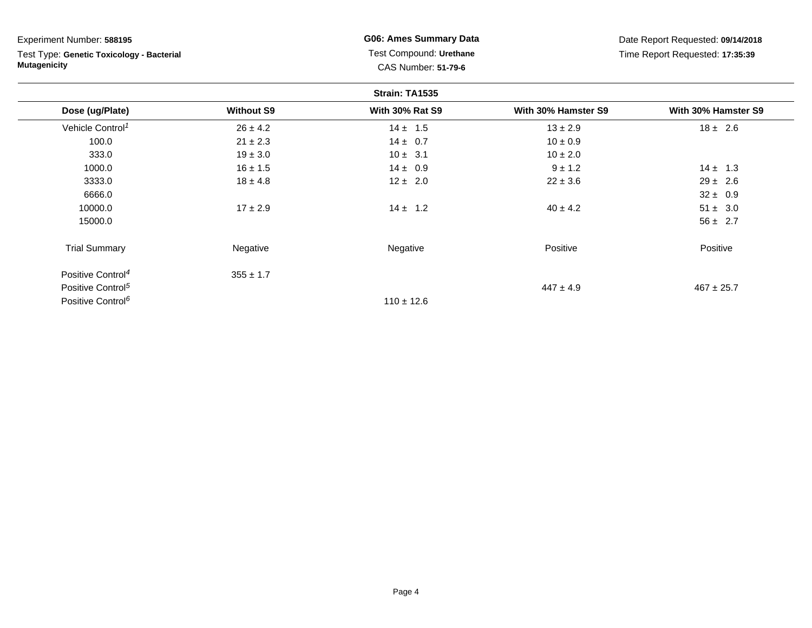| Experiment Number: 588195<br>Test Type: Genetic Toxicology - Bacterial<br><b>Mutagenicity</b> |                   | <b>G06: Ames Summary Data</b><br>Test Compound: Urethane<br><b>CAS Number: 51-79-6</b> |                     | Date Report Requested: 09/14/2018<br>Time Report Requested: 17:35:39 |  |
|-----------------------------------------------------------------------------------------------|-------------------|----------------------------------------------------------------------------------------|---------------------|----------------------------------------------------------------------|--|
|                                                                                               |                   |                                                                                        |                     |                                                                      |  |
| Dose (ug/Plate)                                                                               | <b>Without S9</b> | <b>With 30% Rat S9</b>                                                                 | With 30% Hamster S9 | With 30% Hamster S9                                                  |  |
| Vehicle Control <sup>1</sup>                                                                  | $26 \pm 4.2$      | $14 \pm 1.5$                                                                           | $13 \pm 2.9$        | $18 \pm 2.6$                                                         |  |
| 100.0                                                                                         | $21 \pm 2.3$      | $14 \pm 0.7$                                                                           | $10 \pm 0.9$        |                                                                      |  |
| 333.0                                                                                         | $19 \pm 3.0$      | $10 \pm 3.1$                                                                           | $10 \pm 2.0$        |                                                                      |  |
| 1000.0                                                                                        | $16 \pm 1.5$      | $14 \pm 0.9$                                                                           | $9 \pm 1.2$         | $14 \pm 1.3$                                                         |  |
| 3333.0                                                                                        | $18 \pm 4.8$      | $12 \pm 2.0$                                                                           | $22 \pm 3.6$        | $29 \pm 2.6$                                                         |  |
| 6666.0                                                                                        |                   |                                                                                        |                     | $32 \pm 0.9$                                                         |  |
| 10000.0                                                                                       | $17 \pm 2.9$      | $14 \pm 1.2$                                                                           | $40 \pm 4.2$        | $51 \pm 3.0$                                                         |  |
| 15000.0                                                                                       |                   |                                                                                        |                     | $56 \pm 2.7$                                                         |  |
| <b>Trial Summary</b>                                                                          | Negative          | Negative                                                                               | Positive            | Positive                                                             |  |
| Positive Control <sup>4</sup>                                                                 | $355 \pm 1.7$     |                                                                                        |                     |                                                                      |  |
| Positive Control <sup>5</sup>                                                                 |                   |                                                                                        | $447 \pm 4.9$       | $467 \pm 25.7$                                                       |  |
| Positive Control <sup>6</sup>                                                                 |                   | $110 \pm 12.6$                                                                         |                     |                                                                      |  |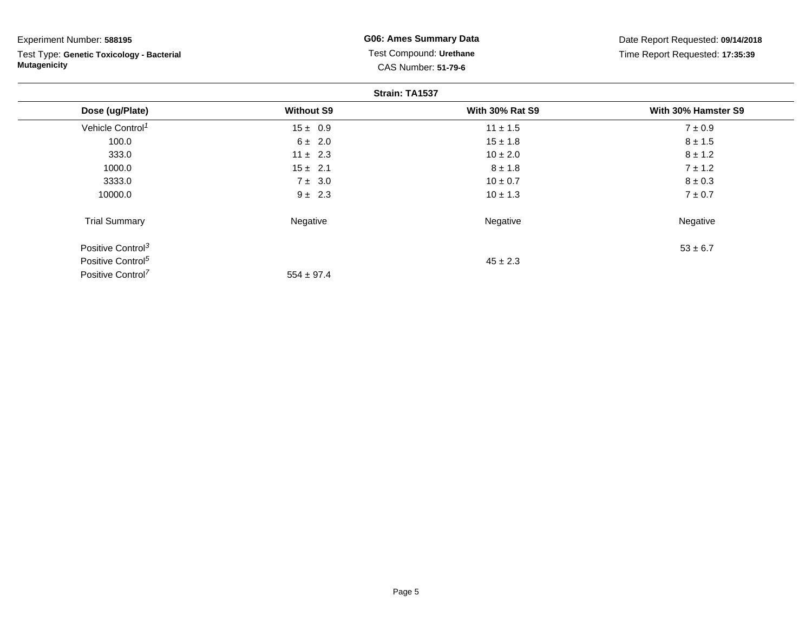| Experiment Number: 588195                                        | <b>G06: Ames Summary Data</b><br>Test Compound: Urethane<br><b>CAS Number: 51-79-6</b> |                        | Date Report Requested: 09/14/2018<br>Time Report Requested: 17:35:39 |  |  |
|------------------------------------------------------------------|----------------------------------------------------------------------------------------|------------------------|----------------------------------------------------------------------|--|--|
| Test Type: Genetic Toxicology - Bacterial<br><b>Mutagenicity</b> |                                                                                        |                        |                                                                      |  |  |
| Strain: TA1537                                                   |                                                                                        |                        |                                                                      |  |  |
| Dose (ug/Plate)                                                  | <b>Without S9</b>                                                                      | <b>With 30% Rat S9</b> | With 30% Hamster S9                                                  |  |  |
| Vehicle Control <sup>1</sup>                                     | $15 \pm 0.9$                                                                           | $11 \pm 1.5$           | $7 \pm 0.9$                                                          |  |  |
| 100.0                                                            | $6 \pm 2.0$                                                                            | $15 \pm 1.8$           | $8 \pm 1.5$                                                          |  |  |
| 333.0                                                            | $11 \pm 2.3$                                                                           | $10 \pm 2.0$           | $8 \pm 1.2$                                                          |  |  |
| 1000.0                                                           | $15 \pm 2.1$                                                                           | $8 \pm 1.8$            | $7 \pm 1.2$                                                          |  |  |
| 3333.0                                                           | $7 \pm 3.0$                                                                            | $10 \pm 0.7$           | $8 \pm 0.3$                                                          |  |  |
| 10000.0                                                          | $9 \pm 2.3$                                                                            | $10 \pm 1.3$           | $7 \pm 0.7$                                                          |  |  |
| <b>Trial Summary</b>                                             | Negative                                                                               | Negative               | Negative                                                             |  |  |
| Positive Control <sup>3</sup>                                    |                                                                                        |                        | $53 \pm 6.7$                                                         |  |  |
| Positive Control <sup>5</sup>                                    |                                                                                        | $45 \pm 2.3$           |                                                                      |  |  |
| Positive Control <sup>7</sup>                                    | $554 \pm 97.4$                                                                         |                        |                                                                      |  |  |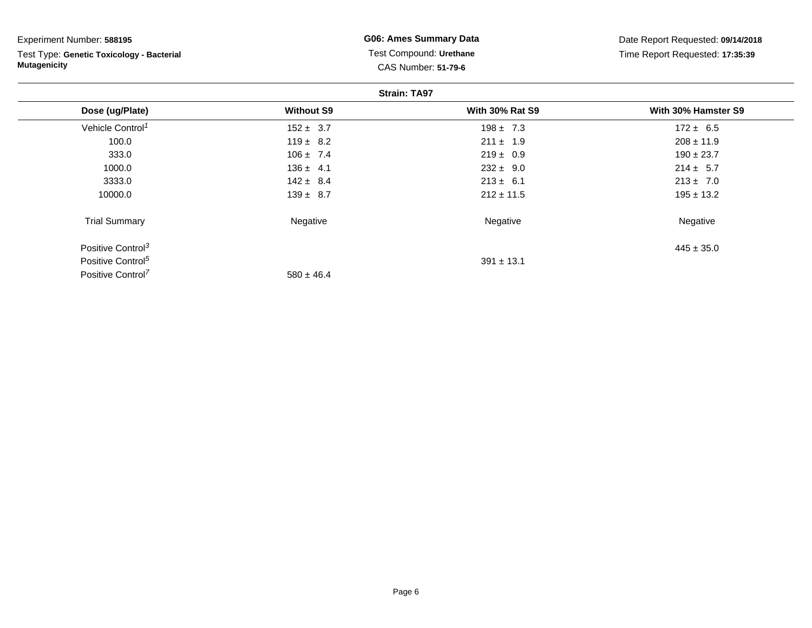| Experiment Number: 588195                                        | <b>G06: Ames Summary Data</b>                         | Date Report Requested: 09/14/2018<br>Time Report Requested: 17:35:39 |                     |  |
|------------------------------------------------------------------|-------------------------------------------------------|----------------------------------------------------------------------|---------------------|--|
| Test Type: Genetic Toxicology - Bacterial<br><b>Mutagenicity</b> | Test Compound: Urethane<br><b>CAS Number: 51-79-6</b> |                                                                      |                     |  |
|                                                                  |                                                       | <b>Strain: TA97</b>                                                  |                     |  |
| Dose (ug/Plate)                                                  | <b>Without S9</b>                                     | <b>With 30% Rat S9</b>                                               | With 30% Hamster S9 |  |
| Vehicle Control <sup>1</sup>                                     | $152 \pm 3.7$                                         | $198 \pm 7.3$                                                        | $172 \pm 6.5$       |  |
| 100.0                                                            | $119 \pm 8.2$                                         | $211 \pm 1.9$                                                        | $208 \pm 11.9$      |  |
| 333.0                                                            | $106 \pm 7.4$                                         | $219 \pm 0.9$                                                        | $190 \pm 23.7$      |  |
| 1000.0                                                           | $136 \pm 4.1$                                         | $232 \pm 9.0$                                                        | $214 \pm 5.7$       |  |
| 3333.0                                                           | $142 \pm 8.4$                                         | $213 \pm 6.1$                                                        | $213 \pm 7.0$       |  |
| 10000.0                                                          | $139 \pm 8.7$                                         | $212 \pm 11.5$                                                       | $195 \pm 13.2$      |  |
| <b>Trial Summary</b>                                             | Negative                                              | Negative                                                             | Negative            |  |
| Positive Control <sup>3</sup>                                    |                                                       |                                                                      | $445 \pm 35.0$      |  |
| Positive Control <sup>5</sup>                                    |                                                       | $391 \pm 13.1$                                                       |                     |  |

 $580 \pm 46.4$ 

Positive Control<sup>7</sup>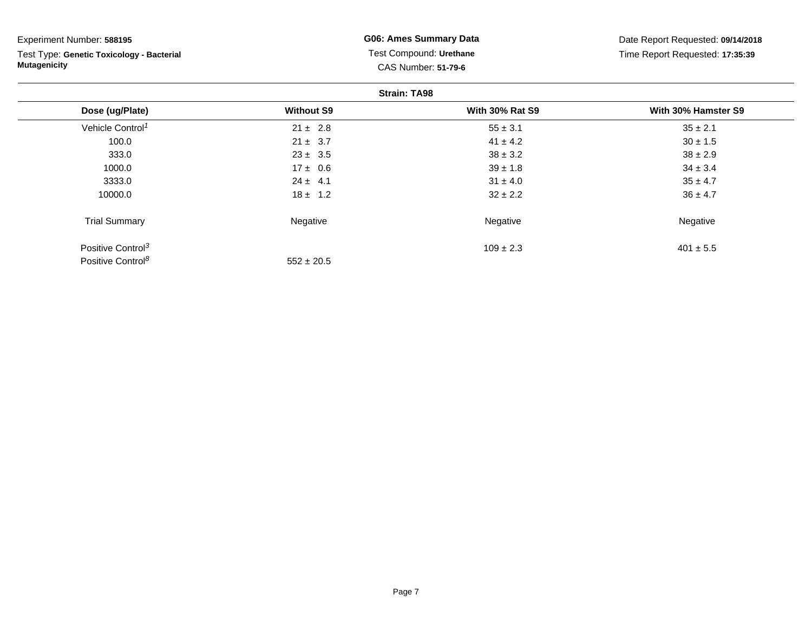| Experiment Number: 588195                 | <b>G06: Ames Summary Data</b> | Date Report Requested: 09/14/2018 |                                 |  |  |  |
|-------------------------------------------|-------------------------------|-----------------------------------|---------------------------------|--|--|--|
| Test Type: Genetic Toxicology - Bacterial |                               | Test Compound: Urethane           | Time Report Requested: 17:35:39 |  |  |  |
| <b>Mutagenicity</b>                       | <b>CAS Number: 51-79-6</b>    |                                   |                                 |  |  |  |
| <b>Strain: TA98</b>                       |                               |                                   |                                 |  |  |  |
| Dose (ug/Plate)                           | <b>Without S9</b>             | <b>With 30% Rat S9</b>            | With 30% Hamster S9             |  |  |  |
| Vehicle Control <sup>1</sup>              | $21 \pm 2.8$                  | $55 \pm 3.1$                      | $35 \pm 2.1$                    |  |  |  |
| 100.0                                     | $21 \pm 3.7$                  | $41 \pm 4.2$                      | $30 \pm 1.5$                    |  |  |  |
| 333.0                                     | $23 \pm 3.5$                  | $38 \pm 3.2$                      | $38 \pm 2.9$                    |  |  |  |
| 1000.0                                    | $17 \pm 0.6$                  | $39 \pm 1.8$                      | $34 \pm 3.4$                    |  |  |  |
| 3333.0                                    | $24 \pm 4.1$                  | $31 \pm 4.0$                      | $35 \pm 4.7$                    |  |  |  |
| 10000.0                                   | $18 \pm 1.2$                  | $32 \pm 2.2$                      | $36 \pm 4.7$                    |  |  |  |
| <b>Trial Summary</b>                      | Negative                      | Negative                          | Negative                        |  |  |  |
| Positive Control <sup>3</sup>             |                               | $109 \pm 2.3$                     | $401 \pm 5.5$                   |  |  |  |
| Positive Control <sup>8</sup>             | $552 \pm 20.5$                |                                   |                                 |  |  |  |

Page 7